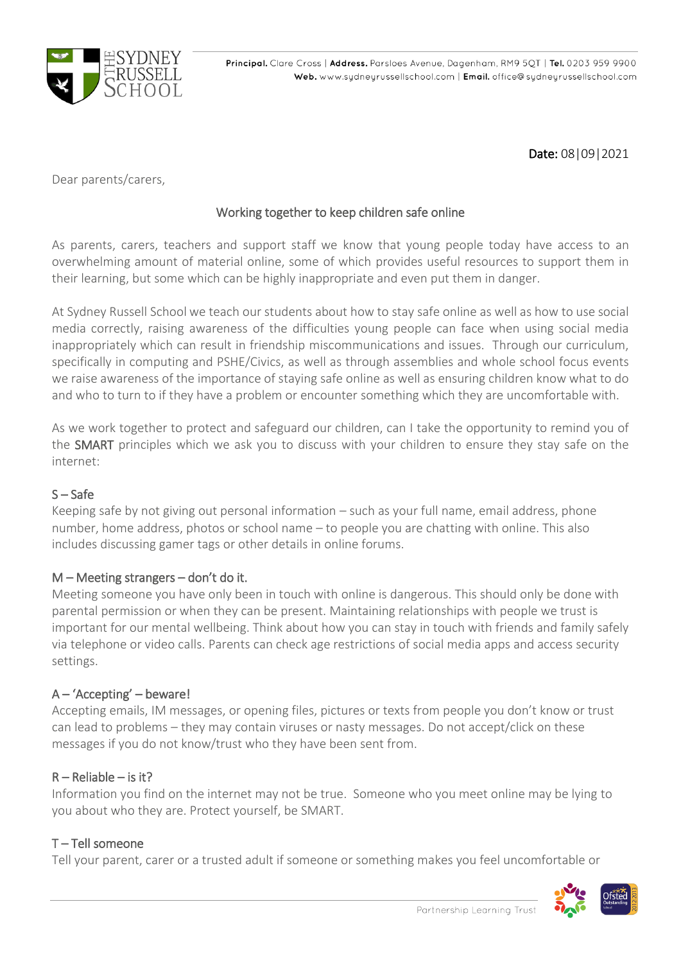

Date: 08|09|2021

Dear parents/carers,

# Working together to keep children safe online

As parents, carers, teachers and support staff we know that young people today have access to an overwhelming amount of material online, some of which provides useful resources to support them in their learning, but some which can be highly inappropriate and even put them in danger.

At Sydney Russell School we teach our students about how to stay safe online as well as how to use social media correctly, raising awareness of the difficulties young people can face when using social media inappropriately which can result in friendship miscommunications and issues. Through our curriculum, specifically in computing and PSHE/Civics, as well as through assemblies and whole school focus events we raise awareness of the importance of staying safe online as well as ensuring children know what to do and who to turn to if they have a problem or encounter something which they are uncomfortable with.

As we work together to protect and safeguard our children, can I take the opportunity to remind you of the SMART principles which we ask you to discuss with your children to ensure they stay safe on the internet:

# S – Safe

Keeping safe by not giving out personal information – such as your full name, email address, phone number, home address, photos or school name – to people you are chatting with online. This also includes discussing gamer tags or other details in online forums.

## $M$  – Meeting strangers – don't do it.

Meeting someone you have only been in touch with online is dangerous. This should only be done with parental permission or when they can be present. Maintaining relationships with people we trust is important for our mental wellbeing. Think about how you can stay in touch with friends and family safely via telephone or video calls. Parents can check age restrictions of social media apps and access security settings.

# A – 'Accepting' – beware!

Accepting emails, IM messages, or opening files, pictures or texts from people you don't know or trust can lead to problems – they may contain viruses or nasty messages. Do not accept/click on these messages if you do not know/trust who they have been sent from.

## R – Reliable – is it?

Information you find on the internet may not be true. Someone who you meet online may be lying to you about who they are. Protect yourself, be SMART.

## T – Tell someone

Tell your parent, carer or a trusted adult if someone or something makes you feel uncomfortable or